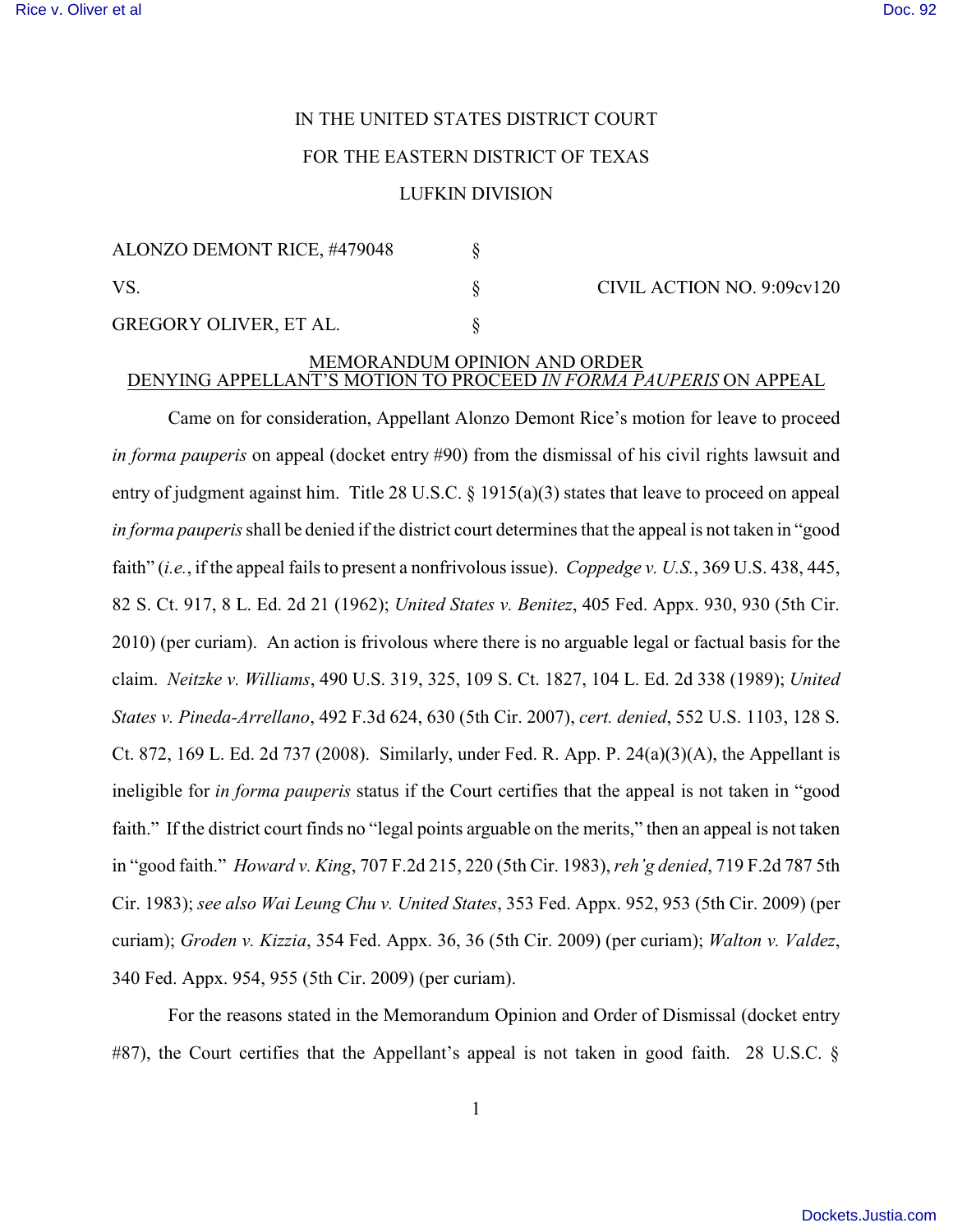## IN THE UNITED STATES DISTRICT COURT

## FOR THE EASTERN DISTRICT OF TEXAS

## LUFKIN DIVISION

| ALONZO DEMONT RICE, #479048   |  | CIVIL ACTION NO. 9:09cv120 |
|-------------------------------|--|----------------------------|
| VS                            |  |                            |
| <b>GREGORY OLIVER, ET AL.</b> |  |                            |

## MEMORANDUM OPINION AND ORDER DENYING APPELLANT'S MOTION TO PROCEED *IN FORMA PAUPERIS* ON APPEAL

Came on for consideration, Appellant Alonzo Demont Rice's motion for leave to proceed *in forma pauperis* on appeal (docket entry #90) from the dismissal of his civil rights lawsuit and entry of judgment against him. Title 28 U.S.C. § 1915(a)(3) states that leave to proceed on appeal *in forma pauperis*shall be denied if the district court determines that the appeal is not taken in "good faith" (*i.e.*, if the appeal fails to present a nonfrivolous issue). *Coppedge v. U.S.*, 369 U.S. 438, 445, 82 S. Ct. 917, 8 L. Ed. 2d 21 (1962); *United States v. Benitez*, 405 Fed. Appx. 930, 930 (5th Cir. 2010) (per curiam). An action is frivolous where there is no arguable legal or factual basis for the claim. *Neitzke v. Williams*, 490 U.S. 319, 325, 109 S. Ct. 1827, 104 L. Ed. 2d 338 (1989); *United States v. Pineda-Arrellano*, 492 F.3d 624, 630 (5th Cir. 2007), *cert. denied*, 552 U.S. 1103, 128 S. Ct. 872, 169 L. Ed. 2d 737 (2008). Similarly, under Fed. R. App. P. 24(a)(3)(A), the Appellant is ineligible for *in forma pauperis* status if the Court certifies that the appeal is not taken in "good faith." If the district court finds no "legal points arguable on the merits," then an appeal is not taken in "good faith." *Howard v. King*, 707 F.2d 215, 220 (5th Cir. 1983), *reh'g denied*, 719 F.2d 787 5th Cir. 1983); *see also Wai Leung Chu v. United States*, 353 Fed. Appx. 952, 953 (5th Cir. 2009) (per curiam); *Groden v. Kizzia*, 354 Fed. Appx. 36, 36 (5th Cir. 2009) (per curiam); *Walton v. Valdez*, 340 Fed. Appx. 954, 955 (5th Cir. 2009) (per curiam).

For the reasons stated in the Memorandum Opinion and Order of Dismissal (docket entry #87), the Court certifies that the Appellant's appeal is not taken in good faith. 28 U.S.C. §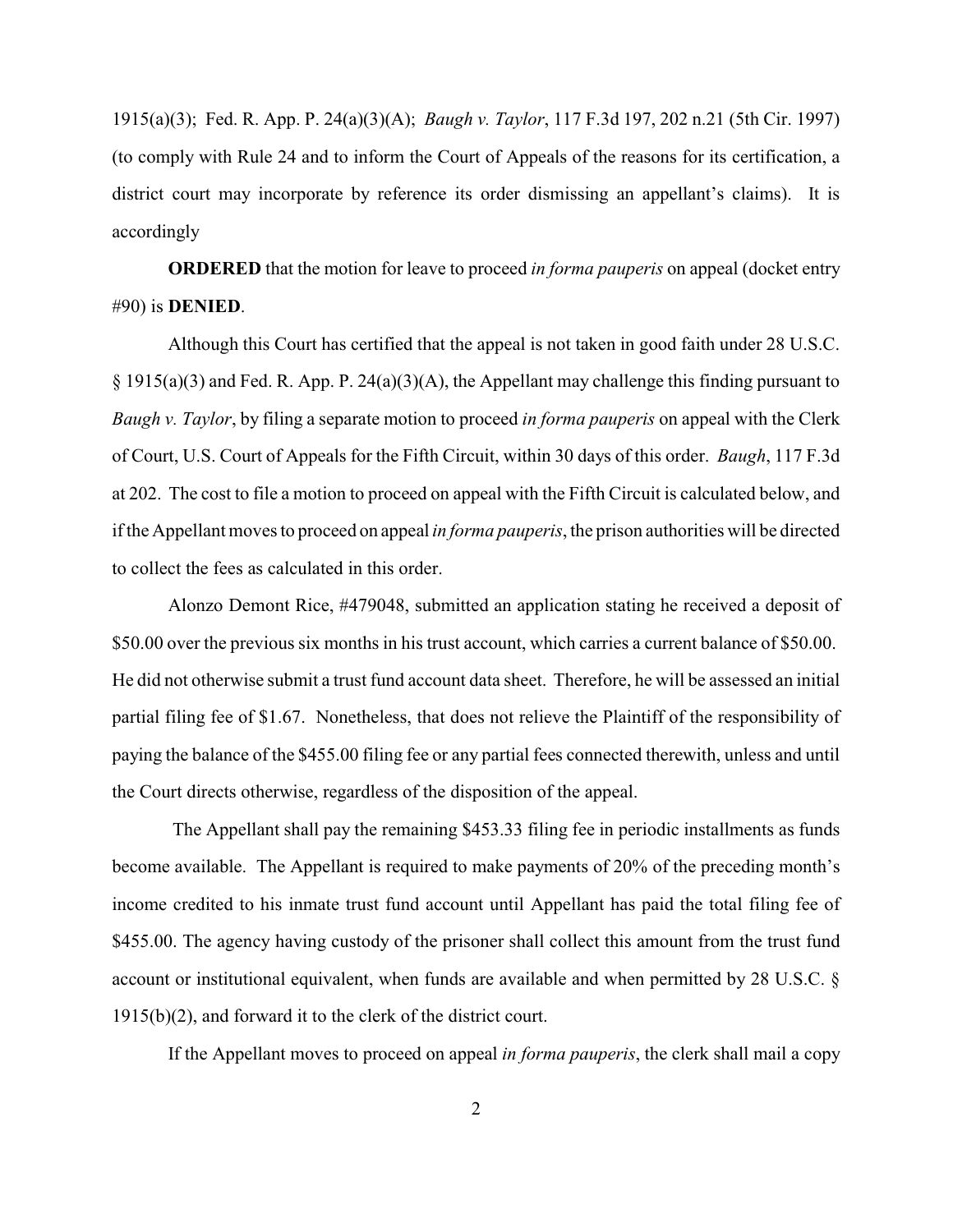1915(a)(3); Fed. R. App. P. 24(a)(3)(A); *Baugh v. Taylor*, 117 F.3d 197, 202 n.21 (5th Cir. 1997) (to comply with Rule 24 and to inform the Court of Appeals of the reasons for its certification, a district court may incorporate by reference its order dismissing an appellant's claims). It is accordingly

**ORDERED** that the motion for leave to proceed *in forma pauperis* on appeal (docket entry #90) is **DENIED**.

Although this Court has certified that the appeal is not taken in good faith under 28 U.S.C. § 1915(a)(3) and Fed. R. App. P. 24(a)(3)(A), the Appellant may challenge this finding pursuant to *Baugh v. Taylor*, by filing a separate motion to proceed *in forma pauperis* on appeal with the Clerk of Court, U.S. Court of Appeals for the Fifth Circuit, within 30 days of this order. *Baugh*, 117 F.3d at 202. The cost to file a motion to proceed on appeal with the Fifth Circuit is calculated below, and if the Appellant moves to proceed on appeal *in forma pauperis*, the prison authorities will be directed to collect the fees as calculated in this order.

Alonzo Demont Rice, #479048, submitted an application stating he received a deposit of \$50.00 over the previous six months in his trust account, which carries a current balance of \$50.00. He did not otherwise submit a trust fund account data sheet. Therefore, he will be assessed an initial partial filing fee of \$1.67. Nonetheless, that does not relieve the Plaintiff of the responsibility of paying the balance of the \$455.00 filing fee or any partial fees connected therewith, unless and until the Court directs otherwise, regardless of the disposition of the appeal.

The Appellant shall pay the remaining \$453.33 filing fee in periodic installments as funds become available. The Appellant is required to make payments of 20% of the preceding month's income credited to his inmate trust fund account until Appellant has paid the total filing fee of \$455.00. The agency having custody of the prisoner shall collect this amount from the trust fund account or institutional equivalent, when funds are available and when permitted by 28 U.S.C. § 1915(b)(2), and forward it to the clerk of the district court.

If the Appellant moves to proceed on appeal *in forma pauperis*, the clerk shall mail a copy